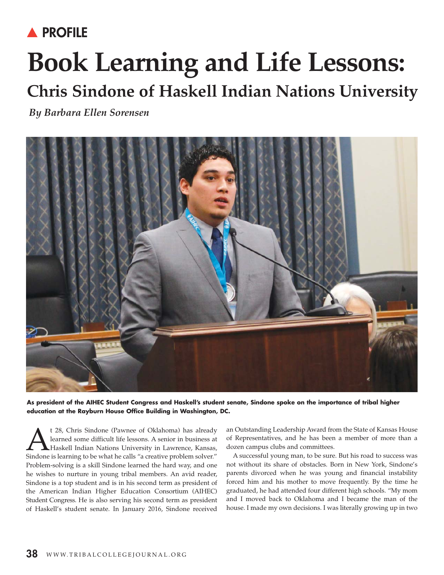## **A PROFILE**

## **Book Learning and Life Lessons: Chris Sindone of Haskell Indian Nations University**

*By Barbara Ellen Sorensen*



**As president of the AIHEC Student Congress and Haskell's student senate, Sindone spoke on the importance of tribal higher education at the Rayburn House Office Building in Washington, DC.**

t 28, Chris Sindone (Pawnee of Oklahoma) has already<br>learned some difficult life lessons. A senior in business at<br>Haskell Indian Nations University in Lawrence, Kansas,<br>Sindone is learning to be what he calls "a creative p learned some difficult life lessons. A senior in business at Haskell Indian Nations University in Lawrence, Kansas, Sindone is learning to be what he calls "a creative problem solver." Problem-solving is a skill Sindone learned the hard way, and one he wishes to nurture in young tribal members. An avid reader, Sindone is a top student and is in his second term as president of the American Indian Higher Education Consortium (AIHEC) Student Congress. He is also serving his second term as president of Haskell's student senate. In January 2016, Sindone received

an Outstanding Leadership Award from the State of Kansas House of Representatives, and he has been a member of more than a dozen campus clubs and committees.

A successful young man, to be sure. But his road to success was not without its share of obstacles. Born in New York, Sindone's parents divorced when he was young and financial instability forced him and his mother to move frequently. By the time he graduated, he had attended four different high schools. "My mom and I moved back to Oklahoma and I became the man of the house. I made my own decisions. I was literally growing up in two